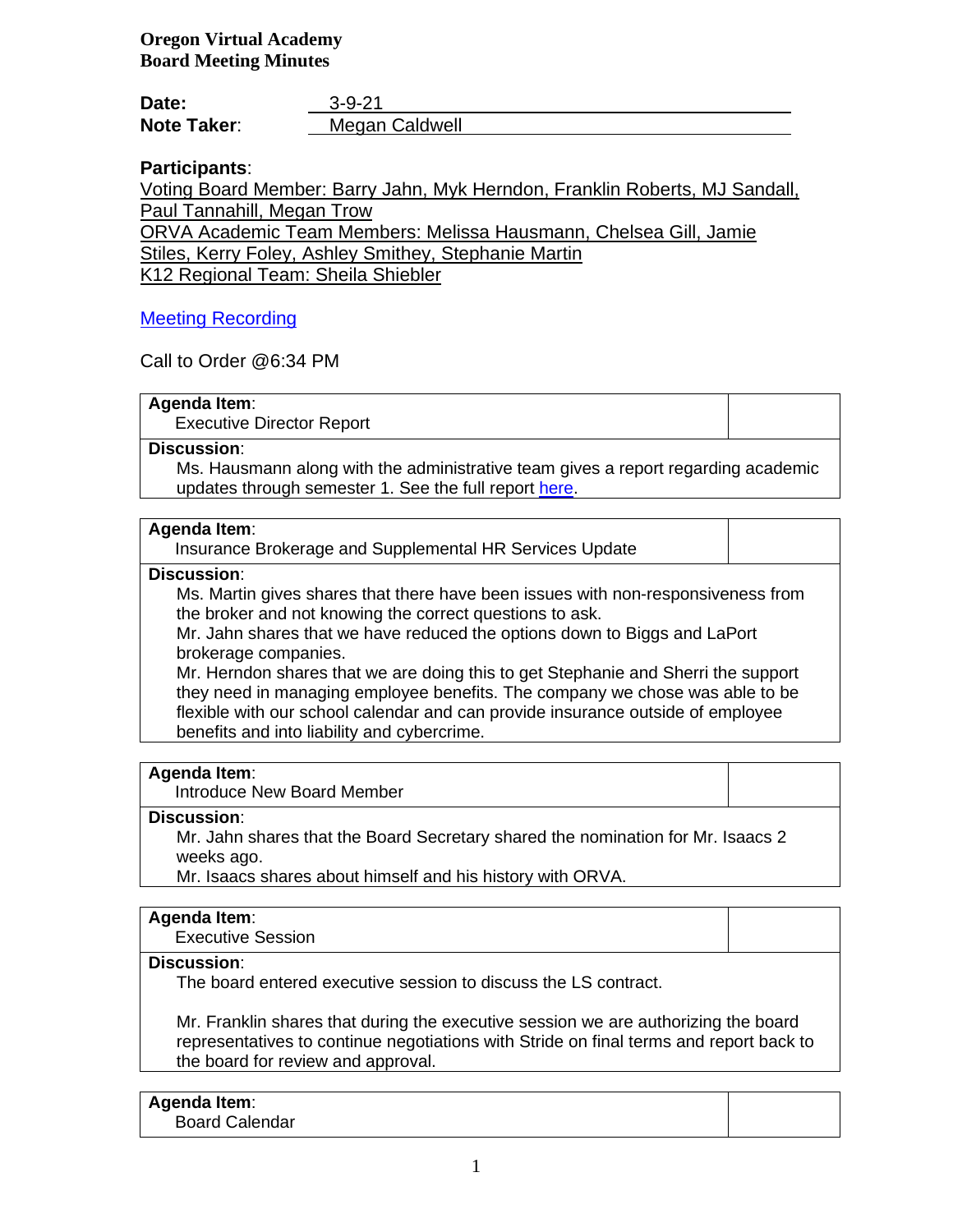**Oregon Virtual Academy Board Meeting Minutes**

| Date:              | $3 - 9 - 21$   |
|--------------------|----------------|
| <b>Note Taker:</b> | Megan Caldwell |

# **Participants**:

Voting Board Member: Barry Jahn, Myk Herndon, Franklin Roberts, MJ Sandall, Paul Tannahill, Megan Trow

ORVA Academic Team Members: Melissa Hausmann, Chelsea Gill, Jamie

Stiles, Kerry Foley, Ashley Smithey, Stephanie Martin

K12 Regional Team: Sheila Shiebler

# [Meeting Recording](https://k12inc-my.sharepoint.com/personal/mecaldwell_oregonva_org/Documents/Documents/Secretary%20to%20the%20Board/Board%20Meetings/20-21/March%202021/Work%20Session%203-9-21/zoom_0.mp4)

Call to Order @6:34 PM

### **Agenda Item**:

Executive Director Report

## **Discussion**:

Ms. Hausmann along with the administrative team gives a report regarding academic updates through semester 1. See the full report [here.](https://k12inc-my.sharepoint.com/personal/mecaldwell_oregonva_org/Documents/Documents/Secretary%20to%20the%20Board/Board%20Meetings/20-21/March%202021/Work%20Session%203-9-21/Academic%20Data%20SY2021,%20Semester%201%20Review.pptx)

### **Agenda Item**:

Insurance Brokerage and Supplemental HR Services Update

# **Discussion**:

Ms. Martin gives shares that there have been issues with non-responsiveness from the broker and not knowing the correct questions to ask.

Mr. Jahn shares that we have reduced the options down to Biggs and LaPort brokerage companies.

Mr. Herndon shares that we are doing this to get Stephanie and Sherri the support they need in managing employee benefits. The company we chose was able to be flexible with our school calendar and can provide insurance outside of employee benefits and into liability and cybercrime.

### **Agenda Item**:

Introduce New Board Member

### **Discussion**:

Mr. Jahn shares that the Board Secretary shared the nomination for Mr. Isaacs 2 weeks ago.

Mr. Isaacs shares about himself and his history with ORVA.

# **Agenda Item**:

Executive Session

# **Discussion**:

The board entered executive session to discuss the LS contract.

Mr. Franklin shares that during the executive session we are authorizing the board representatives to continue negotiations with Stride on final terms and report back to the board for review and approval.

# **Agenda Item**:

Board Calendar